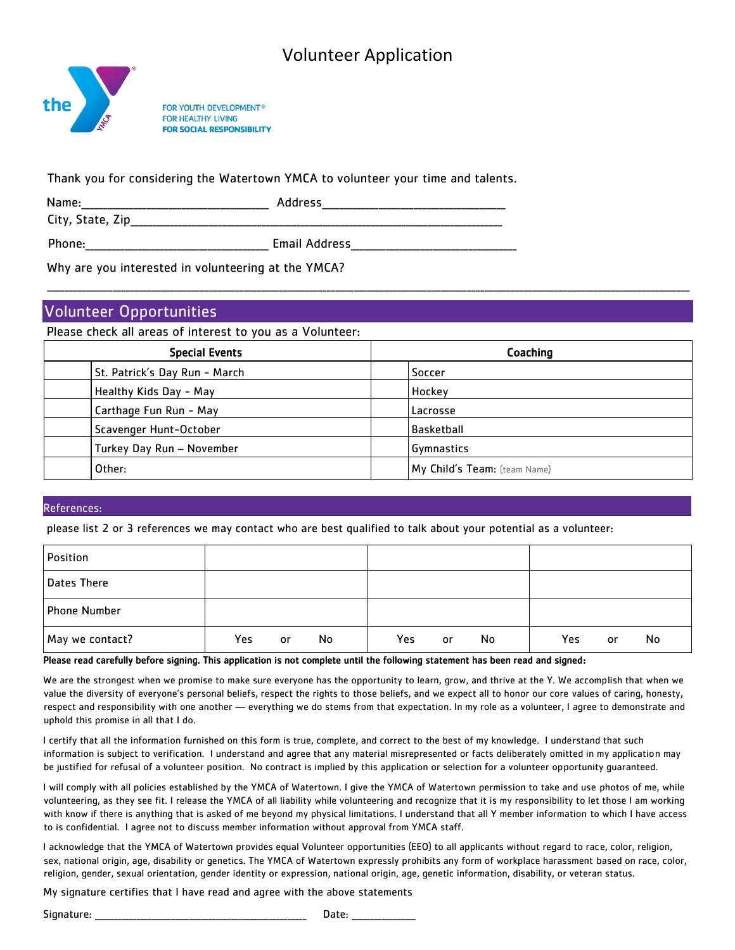# Volunteer Application



FOR YOUTH DEVELOPMENT® **FOR HEALTHY LIVING FOR SOCIAL RESPONSIBILITY** 

Thank you for considering the Watertown YMCA to volunteer your time and talents.

| Name:            | Address              |  |  |  |  |
|------------------|----------------------|--|--|--|--|
| City, State, Zip |                      |  |  |  |  |
| Phone:           | <b>Email Address</b> |  |  |  |  |

Why are you interested in volunteering at the YMCA?

# Volunteer Opportunities

Please check all areas of interest to you as a Volunteer:

| <b>Special Events</b>         | Coaching                     |  |  |
|-------------------------------|------------------------------|--|--|
| St. Patrick's Day Run - March | Soccer                       |  |  |
| Healthy Kids Day - May        | Hockey                       |  |  |
| Carthage Fun Run - May        | Lacrosse                     |  |  |
| Scavenger Hunt-October        | l Basketball                 |  |  |
| Turkey Day Run - November     | Gymnastics                   |  |  |
| Other:                        | My Child's Team: (team Name) |  |  |

\_\_\_\_\_\_\_\_\_\_\_\_\_\_\_\_\_\_\_\_\_\_\_\_\_\_\_\_\_\_\_\_\_\_\_\_\_\_\_\_\_\_\_\_\_\_\_\_\_\_\_\_\_\_\_\_\_\_\_\_\_\_\_\_\_\_\_\_\_\_\_\_\_\_\_\_\_\_\_\_\_\_\_\_\_\_\_\_\_\_\_\_\_\_\_\_\_\_\_\_\_\_\_\_\_\_\_\_\_\_\_\_\_\_\_\_\_\_\_\_\_\_\_\_\_\_\_\_\_\_\_\_\_\_\_\_\_\_\_\_\_\_\_\_\_\_\_

## References:

please list 2 or 3 references we may contact who are best qualified to talk about your potential as a volunteer:

| Position            |     |    |    |     |    |    |     |    |    |
|---------------------|-----|----|----|-----|----|----|-----|----|----|
| Dates There         |     |    |    |     |    |    |     |    |    |
| <b>Phone Number</b> |     |    |    |     |    |    |     |    |    |
| May we contact?     | Yes | or | No | Yes | or | No | Yes | or | No |

#### Please read carefully before signing. This application is not complete until the following statement has been read and signed:

We are the strongest when we promise to make sure everyone has the opportunity to learn, grow, and thrive at the Y. We accomplish that when we value the diversity of everyone's personal beliefs, respect the rights to those beliefs, and we expect all to honor our core values of caring, honesty, respect and responsibility with one another — everything we do stems from that expectation. In my role as a volunteer, I agree to demonstrate and uphold this promise in all that I do.

I certify that all the information furnished on this form is true, complete, and correct to the best of my knowledge. I understand that such information is subject to verification. I understand and agree that any material misrepresented or facts deliberately omitted in my application may be justified for refusal of a volunteer position. No contract is implied by this application or selection for a volunteer opportunity guaranteed.

I will comply with all policies established by the YMCA of Watertown. I give the YMCA of Watertown permission to take and use photos of me, while volunteering, as they see fit. I release the YMCA of all liability while volunteering and recognize that it is my responsibility to let those I am working with know if there is anything that is asked of me beyond my physical limitations. I understand that all Y member information to which I have access to is confidential. I agree not to discuss member information without approval from YMCA staff.

I acknowledge that the YMCA of Watertown provides equal Volunteer opportunities (EEO) to all applicants without regard to race, color, religion, sex, national origin, age, disability or genetics. The YMCA of Watertown expressly prohibits any form of workplace harassment based on race, color, religion, gender, sexual orientation, gender identity or expression, national origin, age, genetic information, disability, or veteran status.

#### My signature certifies that I have read and agree with the above statements

Signature: The contract of the contract of the contract of the contract of the contract of the contract of the contract of the contract of the contract of the contract of the contract of the contract of the contract of the